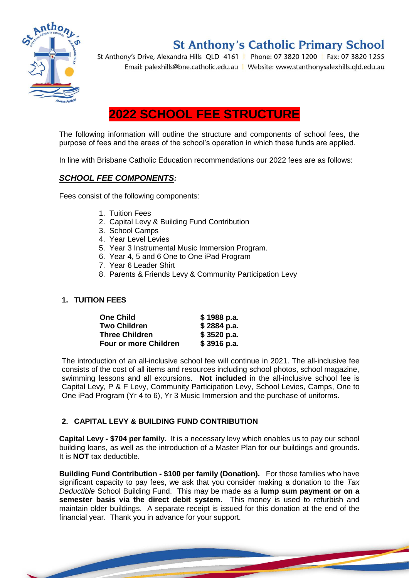

# **St Anthony's Catholic Primary School**

St Anthony's Drive, Alexandra Hills QLD 4161 | Phone: 07 3820 1200 | Fax: 07 3820 1255 Email: palexhills@bne.catholic.edu.au | Website: www.stanthonysalexhills.qld.edu.au

## **2022 SCHOOL FEE STRUCTURE**

The following information will outline the structure and components of school fees, the purpose of fees and the areas of the school's operation in which these funds are applied.

In line with Brisbane Catholic Education recommendations our 2022 fees are as follows:

## *SCHOOL FEE COMPONENTS:*

Fees consist of the following components:

- 1. Tuition Fees
- 2. Capital Levy & Building Fund Contribution
- 3. School Camps
- 4. Year Level Levies
- 5. Year 3 Instrumental Music Immersion Program.
- 6. Year 4, 5 and 6 One to One iPad Program
- 7. Year 6 Leader Shirt
- 8. Parents & Friends Levy & Community Participation Levy

## **1. TUITION FEES**

| <b>One Child</b>             | \$1988 p.a. |
|------------------------------|-------------|
| <b>Two Children</b>          | \$2884 p.a. |
| <b>Three Children</b>        | \$3520 p.a. |
| <b>Four or more Children</b> | \$3916 p.a. |

The introduction of an all-inclusive school fee will continue in 2021. The all-inclusive fee consists of the cost of all items and resources including school photos, school magazine, swimming lessons and all excursions. **Not included** in the all-inclusive school fee is Capital Levy, P & F Levy, Community Participation Levy, School Levies, Camps, One to One iPad Program (Yr 4 to 6), Yr 3 Music Immersion and the purchase of uniforms.

## **2. CAPITAL LEVY & BUILDING FUND CONTRIBUTION**

**Capital Levy - \$704 per family.** It is a necessary levy which enables us to pay our school building loans, as well as the introduction of a Master Plan for our buildings and grounds. It is **NOT** tax deductible.

**Building Fund Contribution - \$100 per family (Donation).** For those families who have significant capacity to pay fees, we ask that you consider making a donation to the *Tax Deductible* School Building Fund. This may be made as a **lump sum payment or on a semester basis via the direct debit system**. This money is used to refurbish and maintain older buildings. A separate receipt is issued for this donation at the end of the financial year. Thank you in advance for your support.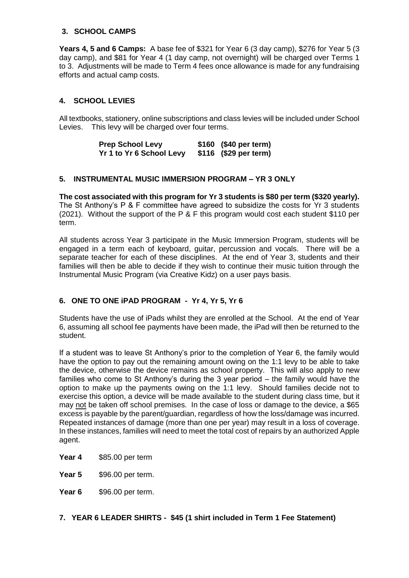## **3. SCHOOL CAMPS**

**Years 4, 5 and 6 Camps:** A base fee of \$321 for Year 6 (3 day camp), \$276 for Year 5 (3 day camp), and \$81 for Year 4 (1 day camp, not overnight) will be charged over Terms 1 to 3. Adjustments will be made to Term 4 fees once allowance is made for any fundraising efforts and actual camp costs.

## **4. SCHOOL LEVIES**

All textbooks, stationery, online subscriptions and class levies will be included under School Levies. This levy will be charged over four terms.

> **Prep School Levy \$160 (\$40 per term) Yr 1 to Yr 6 School Levy \$116 (\$29 per term)**

## **5. INSTRUMENTAL MUSIC IMMERSION PROGRAM – YR 3 ONLY**

**The cost associated with this program for Yr 3 students is \$80 per term (\$320 yearly).**  The St Anthony's P & F committee have agreed to subsidize the costs for Yr 3 students (2021). Without the support of the P & F this program would cost each student \$110 per term.

All students across Year 3 participate in the Music Immersion Program, students will be engaged in a term each of keyboard, guitar, percussion and vocals. There will be a separate teacher for each of these disciplines. At the end of Year 3, students and their families will then be able to decide if they wish to continue their music tuition through the Instrumental Music Program (via Creative Kidz) on a user pays basis.

## **6. ONE TO ONE iPAD PROGRAM - Yr 4, Yr 5, Yr 6**

Students have the use of iPads whilst they are enrolled at the School. At the end of Year 6, assuming all school fee payments have been made, the iPad will then be returned to the student.

If a student was to leave St Anthony's prior to the completion of Year 6, the family would have the option to pay out the remaining amount owing on the 1:1 levy to be able to take the device, otherwise the device remains as school property. This will also apply to new families who come to St Anthony's during the 3 year period – the family would have the option to make up the payments owing on the 1:1 levy. Should families decide not to exercise this option, a device will be made available to the student during class time, but it may not be taken off school premises. In the case of loss or damage to the device, a \$65 excess is payable by the parent/guardian, regardless of how the loss/damage was incurred. Repeated instances of damage (more than one per year) may result in a loss of coverage. In these instances, families will need to meet the total cost of repairs by an authorized Apple agent.

**Year 4** \$85.00 per term

**Year 5** \$96.00 per term.

**Year 6** \$96.00 per term.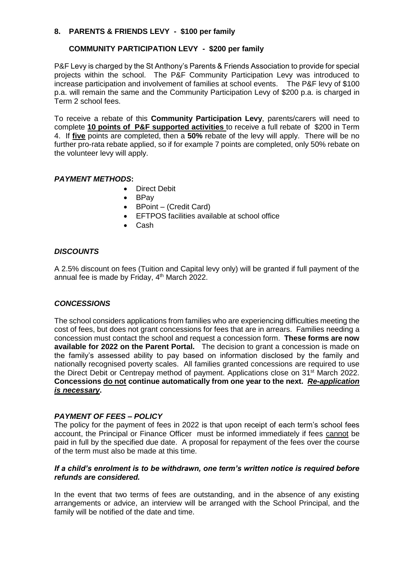## **8. PARENTS & FRIENDS LEVY - \$100 per family**

## **COMMUNITY PARTICIPATION LEVY - \$200 per family**

P&F Levy is charged by the St Anthony's Parents & Friends Association to provide for special projects within the school. The P&F Community Participation Levy was introduced to increase participation and involvement of families at school events. The P&F levy of \$100 p.a. will remain the same and the Community Participation Levy of \$200 p.a. is charged in Term 2 school fees.

To receive a rebate of this **Community Participation Levy**, parents/carers will need to complete **10 points of P&F supported activities** to receive a full rebate of \$200 in Term 4. If **five** points are completed, then a **50%** rebate of the levy will apply. There will be no further pro-rata rebate applied, so if for example 7 points are completed, only 50% rebate on the volunteer levy will apply.

## *PAYMENT METHODS***:**

- Direct Debit
- BPay
- BPoint (Credit Card)
- EFTPOS facilities available at school office
- Cash

#### *DISCOUNTS*

A 2.5% discount on fees (Tuition and Capital levy only) will be granted if full payment of the annual fee is made by Friday, 4<sup>th</sup> March 2022.

## *CONCESSIONS*

The school considers applications from families who are experiencing difficulties meeting the cost of fees, but does not grant concessions for fees that are in arrears. Families needing a concession must contact the school and request a concession form. **These forms are now available for 2022 on the Parent Portal.** The decision to grant a concession is made on the family's assessed ability to pay based on information disclosed by the family and nationally recognised poverty scales. All families granted concessions are required to use the Direct Debit or Centrepay method of payment. Applications close on 31<sup>st</sup> March 2022. **Concessions do not continue automatically from one year to the next.** *Re-application is necessary***.**

## *PAYMENT OF FEES – POLICY*

The policy for the payment of fees in 2022 is that upon receipt of each term's school fees account, the Principal or Finance Officer must be informed immediately if fees cannot be paid in full by the specified due date. A proposal for repayment of the fees over the course of the term must also be made at this time.

#### *If a child's enrolment is to be withdrawn, one term's written notice is required before refunds are considered.*

In the event that two terms of fees are outstanding, and in the absence of any existing arrangements or advice, an interview will be arranged with the School Principal, and the family will be notified of the date and time.